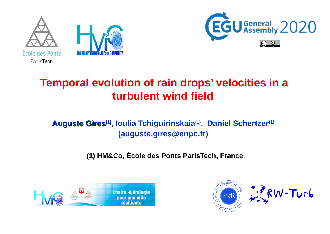





# **Temporal evolution of rain drops' velocities in a turbulent wind field**

### **Auguste Gires(1), Ioulia Tchiguirinskaia(1), Daniel Schertzer(1) (auguste.gires@enpc.fr)**

**(1) HM&Co, École des Ponts ParisTech, France**



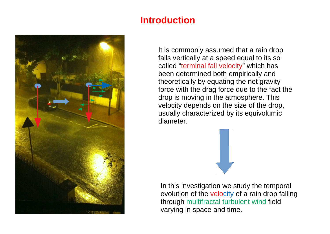

## **Introduction**

It is commonly assumed that a rain drop falls vertically at a speed equal to its so called "terminal fall velocity" which has been determined both empirically and theoretically by equating the net gravity force with the drag force due to the fact the drop is moving in the atmosphere. This velocity depends on the size of the drop, usually characterized by its equivolumic diameter.

In this investigation we study the temporal evolution of the velocity of a rain drop falling through multifractal turbulent wind field varying in space and time.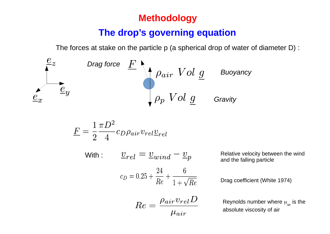### **Methodology**

#### **The drop's governing equation**

The forces at stake on the particle p (a spherical drop of water of diameter D) :

$$
\begin{array}{ccccc}\n & e_x & \text{Diag force} & F & \text{A} & \text{Dair} & Vol & \underline{g} & \text{Buoyancy} \\
& e_x & \frac{e_y}{\sqrt{g_y}} & \frac{e_y}{\sqrt{g_y}} & Vol & \underline{g} & \text{Grawity}\n\end{array}
$$

$$
E = \frac{1}{2} \frac{\pi D^2}{4} c_D \rho_{air} v_{rel} \underline{v}_{rel}
$$

$$
\textsf{With}: \qquad \underline{v}_{rel} = \underline{v}_{wind} - \underline{v}_p
$$

$$
c_D = 0.25 + \frac{24}{Re} + \frac{6}{1 + \sqrt{Re}}
$$

Relative velocity between the wind and the falling particle

Drag coefficient (White 1974)

$$
Re = \frac{\rho_{air} v_{rel} D}{\mu_{air}}
$$

Reynolds number where  $\mu_{_{\sf air}}$  is the absolute viscosity of air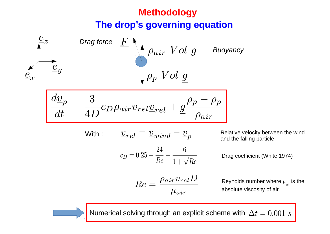# **The drop's governing equation Methodology**



Relative velocity between the wind and the falling particle

Drag coefficient (White 1974)

Reynolds number where  $\mu_{\textrm{\tiny air}}$  is the absolute viscosity of air

Numerical solving through an explicit scheme with  $\Delta t = 0.001$  s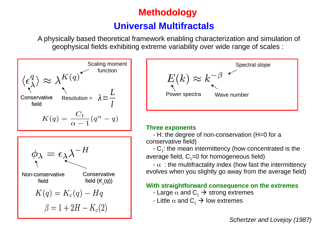# **Methodology Universal Multifractals**

A physically based theoretical framework enabling characterization and simulation of geophysical fields exhibiting extreme variability over wide range of scales :







#### **Three exponents**

 - H: the degree of non-conservation (H=0 for a conservative field)

 $-C_1$ : the mean intermittency (how concentrated is the average field,  $C_1=0$  for homogeneous field)

 $-\alpha$ : the multifractality index (how fast the intermittency evolves when you slightly go away from the average field)

#### **With straightforward consequence on the extremes**

- Large  $\alpha$  and  $C_1 \rightarrow$  strong extremes
- Little  $\alpha$  and  $C_1 \rightarrow$  low extremes

*Schertzer and Lovejoy (1987)*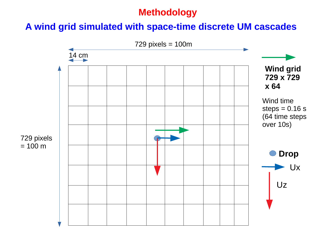## **Methodology**

## **A wind grid simulated with space-time discrete UM cascades**

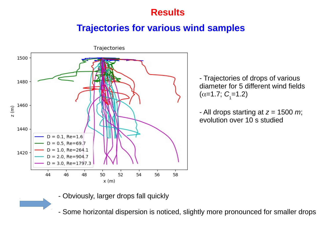## **Results**

#### **Trajectories for various wind samples**



- Trajectories of drops of various diameter for 5 different wind fields  $(\alpha=1.7; C_1=1.2)$ 

- All drops starting at *z* = 1500 *m*; evolution over 10 s studied

- Obviously, larger drops fall quickly

- Some horizontal dispersion is noticed, slightly more pronounced for smaller drops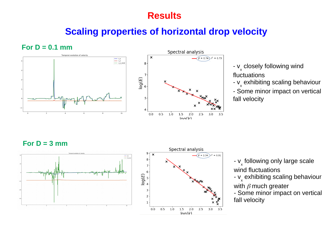#### **Results**

# **Scaling properties of horizontal drop velocity**

**For D = 0.1 mm**





- **v<sub>x</sub>** closely following wind fluctuations
- **v<sub>x</sub> exhibiting scaling behaviour**

- Some minor impact on vertical fall velocity

For  $D = 3$  mm



- **v**<sub>x</sub> following only large scale wind fluctuations
- v<sub>x</sub> exhibiting scaling behaviour

with  $\beta$  much greater

 $3.5$ 

- Some minor impact on vertical fall velocity